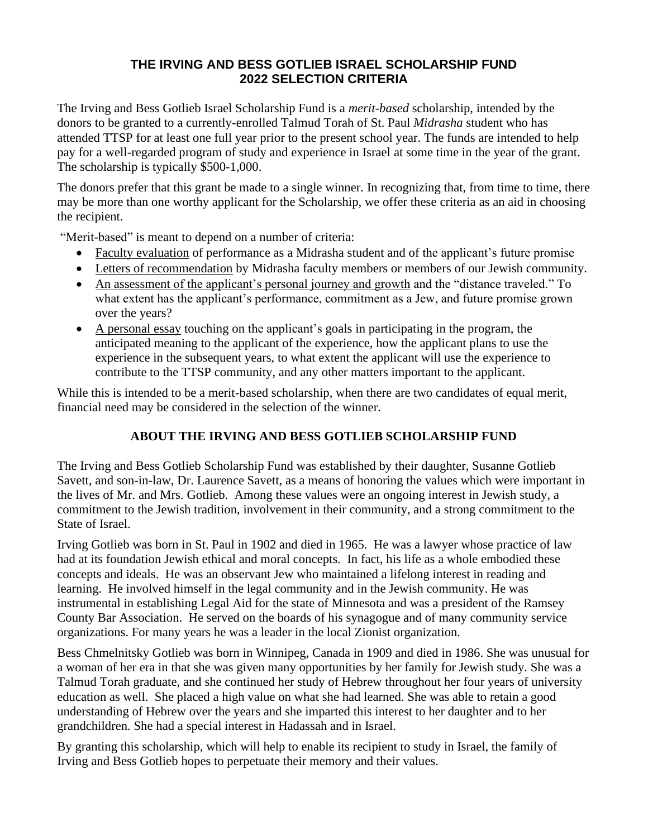## **THE IRVING AND BESS GOTLIEB ISRAEL SCHOLARSHIP FUND 2022 SELECTION CRITERIA**

The Irving and Bess Gotlieb Israel Scholarship Fund is a *merit-based* scholarship, intended by the donors to be granted to a currently-enrolled Talmud Torah of St. Paul *Midrasha* student who has attended TTSP for at least one full year prior to the present school year. The funds are intended to help pay for a well-regarded program of study and experience in Israel at some time in the year of the grant. The scholarship is typically \$500-1,000.

The donors prefer that this grant be made to a single winner. In recognizing that, from time to time, there may be more than one worthy applicant for the Scholarship, we offer these criteria as an aid in choosing the recipient.

"Merit-based" is meant to depend on a number of criteria:

- Faculty evaluation of performance as a Midrasha student and of the applicant's future promise
- Letters of recommendation by Midrasha faculty members or members of our Jewish community.
- An assessment of the applicant's personal journey and growth and the "distance traveled." To what extent has the applicant's performance, commitment as a Jew, and future promise grown over the years?
- A personal essay touching on the applicant's goals in participating in the program, the anticipated meaning to the applicant of the experience, how the applicant plans to use the experience in the subsequent years, to what extent the applicant will use the experience to contribute to the TTSP community, and any other matters important to the applicant.

While this is intended to be a merit-based scholarship, when there are two candidates of equal merit, financial need may be considered in the selection of the winner.

# **ABOUT THE IRVING AND BESS GOTLIEB SCHOLARSHIP FUND**

The Irving and Bess Gotlieb Scholarship Fund was established by their daughter, Susanne Gotlieb Savett, and son-in-law, Dr. Laurence Savett, as a means of honoring the values which were important in the lives of Mr. and Mrs. Gotlieb. Among these values were an ongoing interest in Jewish study, a commitment to the Jewish tradition, involvement in their community, and a strong commitment to the State of Israel.

Irving Gotlieb was born in St. Paul in 1902 and died in 1965. He was a lawyer whose practice of law had at its foundation Jewish ethical and moral concepts. In fact, his life as a whole embodied these concepts and ideals. He was an observant Jew who maintained a lifelong interest in reading and learning. He involved himself in the legal community and in the Jewish community. He was instrumental in establishing Legal Aid for the state of Minnesota and was a president of the Ramsey County Bar Association. He served on the boards of his synagogue and of many community service organizations. For many years he was a leader in the local Zionist organization.

Bess Chmelnitsky Gotlieb was born in Winnipeg, Canada in 1909 and died in 1986. She was unusual for a woman of her era in that she was given many opportunities by her family for Jewish study. She was a Talmud Torah graduate, and she continued her study of Hebrew throughout her four years of university education as well. She placed a high value on what she had learned. She was able to retain a good understanding of Hebrew over the years and she imparted this interest to her daughter and to her grandchildren. She had a special interest in Hadassah and in Israel.

By granting this scholarship, which will help to enable its recipient to study in Israel, the family of Irving and Bess Gotlieb hopes to perpetuate their memory and their values.